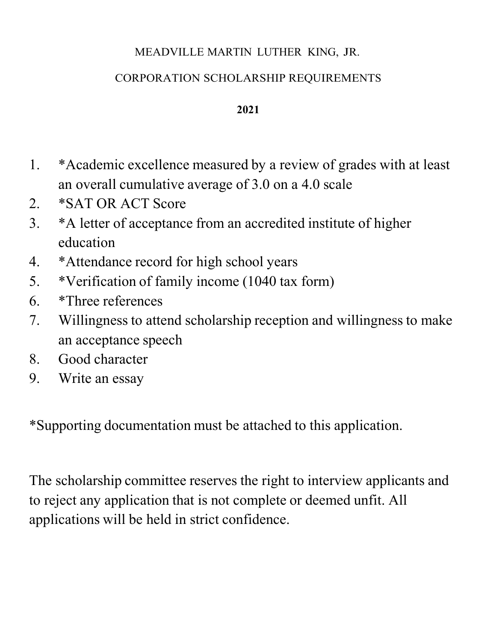## MEADVILLE MARTIN LUTHER KING, JR.

# CORPORATION SCHOLARSHIP REQUIREMENTS

#### **2021**

- 1. \*Academic excellence measured by a review of grades with at least an overall cumulative average of 3.0 on a 4.0 scale
- 2. \*SAT OR ACT Score
- 3. \*A letter of acceptance from an accredited institute of higher education
- 4. \*Attendance record for high school years
- 5. \*Verification of family income (1040 tax form)
- 6. \*Three references
- 7. Willingness to attend scholarship reception and willingness to make an acceptance speech
- 8. Good character
- 9. Write an essay

\*Supporting documentation must be attached to this application.

The scholarship committee reserves the right to interview applicants and to reject any application that is not complete or deemed unfit. All applications will be held in strict confidence.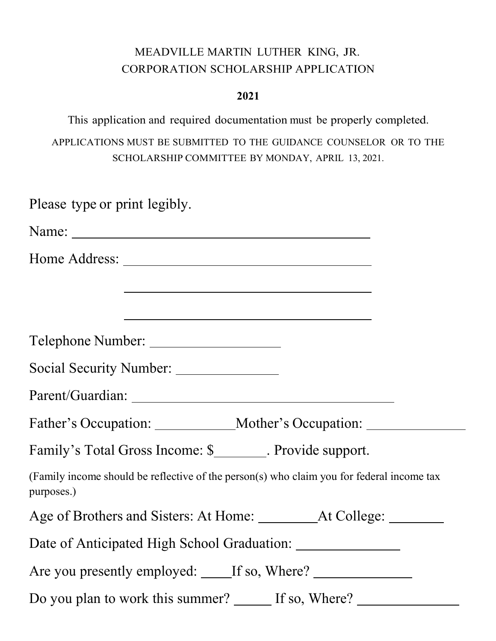## MEADVILLE MARTIN LUTHER KING, JR. CORPORATION SCHOLARSHIP APPLICATION

#### **2021**

This application and required documentation must be properly completed. APPLICATIONS MUST BE SUBMITTED TO THE GUIDANCE COUNSELOR OR TO THE SCHOLARSHIP COMMITTEE BY MONDAY, APRIL 13, 2021.

| Please type or print legibly.                                                                           |  |  |  |  |  |
|---------------------------------------------------------------------------------------------------------|--|--|--|--|--|
|                                                                                                         |  |  |  |  |  |
|                                                                                                         |  |  |  |  |  |
| <u> 1989 - Johann Stoff, amerikansk politiker (d. 1989)</u>                                             |  |  |  |  |  |
| <u> 1989 - Johann Barn, fransk politik (d. 1989)</u>                                                    |  |  |  |  |  |
|                                                                                                         |  |  |  |  |  |
| Social Security Number: _______________                                                                 |  |  |  |  |  |
|                                                                                                         |  |  |  |  |  |
|                                                                                                         |  |  |  |  |  |
| Family's Total Gross Income: \$________. Provide support.                                               |  |  |  |  |  |
| (Family income should be reflective of the person(s) who claim you for federal income tax<br>purposes.) |  |  |  |  |  |
|                                                                                                         |  |  |  |  |  |
| Date of Anticipated High School Graduation:                                                             |  |  |  |  |  |
| Are you presently employed: _____If so, Where? __________________________________                       |  |  |  |  |  |
| Do you plan to work this summer? _______ If so, Where? _________________________                        |  |  |  |  |  |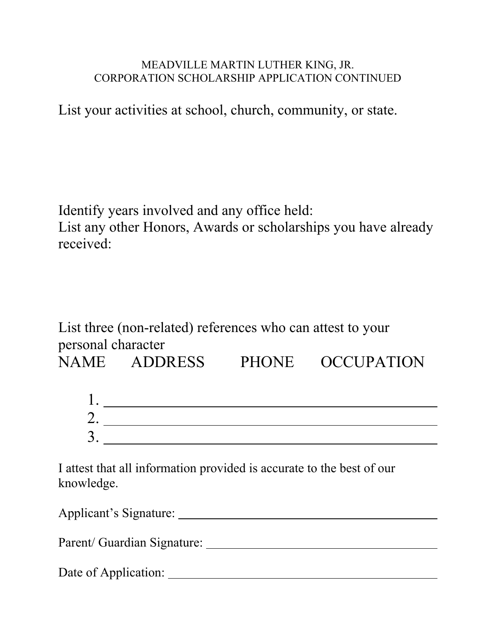#### MEADVILLE MARTIN LUTHER KING, JR. CORPORATION SCHOLARSHIP APPLICATION CONTINUED

List your activities at school, church, community, or state.

Identify years involved and any office held: List any other Honors, Awards or scholarships you have already received:

List three (non-related) references who can attest to your personal character

NAME ADDRESS PHONE OCCUPATION

| ∼      |  |  |  |
|--------|--|--|--|
| ⌒<br>ັ |  |  |  |

I attest that all information provided is accurate to the best of our knowledge.

| Applicant's Signature: |  |
|------------------------|--|
|                        |  |

Parent/ Guardian Signature:

Date of Application: